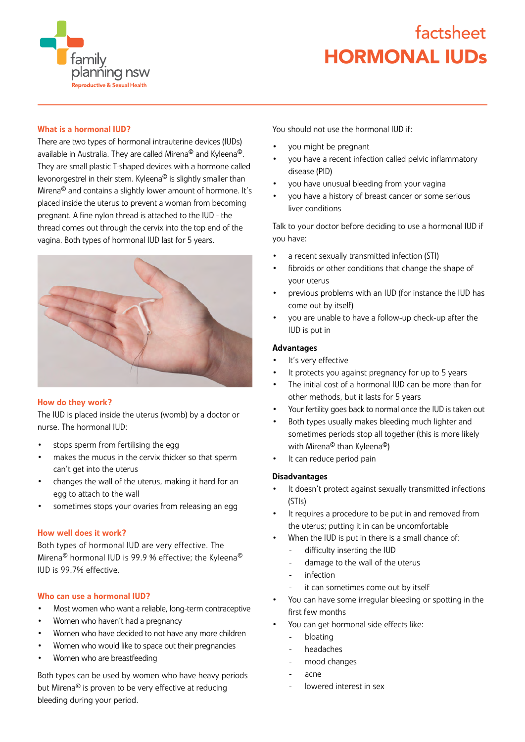**family** planning nsw ductive & Sexual Health

# HORMONAL IUDs factsheet

# What is a hormonal IUD?

There are two types of hormonal intrauterine devices (IUDs) available in Australia. They are called Mirena© and Kyleena©. They are small plastic T-shaped devices with a hormone called levonorgestrel in their stem. Kyleena© is slightly smaller than Mirena© and contains a slightly lower amount of hormone. It's placed inside the uterus to prevent a woman from becoming pregnant. A fine nylon thread is attached to the IUD - the thread comes out through the cervix into the top end of the vagina. Both types of hormonal IUD last for 5 years.



## How do they work?

The IUD is placed inside the uterus (womb) by a doctor or nurse. The hormonal IUD:

- stops sperm from fertilising the egg
- makes the mucus in the cervix thicker so that sperm can't get into the uterus
- changes the wall of the uterus, making it hard for an egg to attach to the wall
- sometimes stops your ovaries from releasing an egg

## How well does it work?

Both types of hormonal IUD are very effective. The Mirena© hormonal IUD is 99.9 % effective; the Kyleena© IUD is 99.7% effective.

#### Who can use a hormonal IUD?

- Most women who want a reliable, long-term contraceptive
- Women who haven't had a pregnancy
- Women who have decided to not have any more children
- Women who would like to space out their pregnancies
- Women who are breastfeeding

Both types can be used by women who have heavy periods but Mirena<sup>®</sup> is proven to be very effective at reducing bleeding during your period.

You should not use the hormonal IUD if:

- you might be pregnant
- you have a recent infection called pelvic inflammatory disease (PID)
- you have unusual bleeding from your vagina
- you have a history of breast cancer or some serious liver conditions

Talk to your doctor before deciding to use a hormonal IUD if you have:

- a recent sexually transmitted infection (STI)
- fibroids or other conditions that change the shape of your uterus
- previous problems with an IUD (for instance the IUD has come out by itself)
- you are unable to have a follow-up check-up after the IUD is put in

### Advantages

- It's very effective
- It protects you against pregnancy for up to 5 years
- The initial cost of a hormonal IUD can be more than for other methods, but it lasts for 5 years
- Your fertility goes back to normal once the IUD is taken out
- Both types usually makes bleeding much lighter and sometimes periods stop all together (this is more likely with Mirena<sup>©</sup> than Kyleena<sup>©</sup>)
- It can reduce period pain

## **Disadvantages**

- It doesn't protect against sexually transmitted infections (STIs)
- It requires a procedure to be put in and removed from the uterus; putting it in can be uncomfortable
- When the IUD is put in there is a small chance of:
	- difficulty inserting the IUD
	- damage to the wall of the uterus
	- infection
	- it can sometimes come out by itself
- You can have some irregular bleeding or spotting in the first few months
- You can get hormonal side effects like:
	- bloating
	- headaches
	- mood changes
	- acne
	- lowered interest in sex